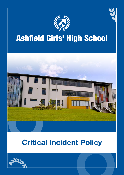

# Ashfield Girls' High School



# **Critical Incident Policy**

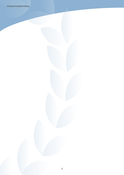**2**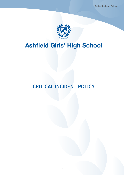**Critical Incident Policy**



# **Ashfield Girls' High School**

# **CRITICAL INCIDENT POLICY**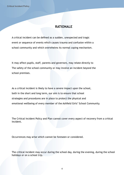# **RATIONALE**

A critical incident can be defined as a sudden, unexpected and tragic event or sequence of events which causes trauma and confusion within a school community and which overwhelms its normal coping mechanism.

It may affect pupils, staff, parents and governors, may relate directly to The safety of the school community or may involve an incident beyond the school premises.

As a critical incident is likely to have a severe impact upon the school, both in the short and long term, our aim is to ensure that school strategies and procedures are in place to protect the physical and emotional wellbeing of every member of the Ashfield Girls' School Community.

The Critical Incident Policy and Plan cannot cover every aspect of recovery from a critical incident.

Occurrences may arise which cannot be foreseen or considered.

The critical incident may occur during the school day, during the evening, during the school holidays or on a school trip.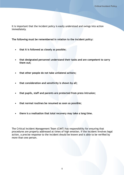It is important that the incident policy is easily understood and swings into action immediately.

**The following must be remembered in relation to the incident policy:**

- **that it is followed as closely as possible;**
- **that designated personnel understand their tasks and are competent to carry them out;**
- **that other people do not take unilateral actions;**
- **that consideration and sensitivity is shown by all;**
- **that pupils, staff and parents are protected from press intrusion;**
- **that normal routines be resumed as soon as possible;**
- **there is a realisation that total recovery may take a long time.**

The Critical Incident Management Team (CIMT) has responsibility for ensuring that procedures are properly addressed at times of high emotion. If the incident involves legal action, a precise response to the incident should be known and is able to be verified by more than one person.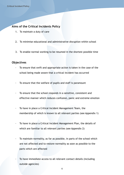# **Aims of the Critical Incidents Policy**

- 1. To maintain a duty of care
- 2. To minimise educational and administrative disruption within school
- 3. To enable normal working to be resumed in the shortest possible time

# **Objectives**

- To ensure that swift and appropriate action is taken in the case of the school being made aware that a critical incident has occurred
- $\cdot$  To ensure that the welfare of pupils and staff is paramount
- · To ensure that the school responds in a sensitive, consistent and effective manner which reduces confusion, panic and extreme emotion
- To have in place a Critical Incident Management Team, the membership of which is known to all relevant parties (see Appendix 1)
- · To have in place a Critical Incident Management Plan, the details of which are familiar to all relevant parties (see Appendix 2)
- $\cdot$  To maintain normality, as far as possible, in parts of the school which are not affected and to restore normality as soon as possible to the parts which are affected
- To have immediate access to all relevant contact details (including outside agencies)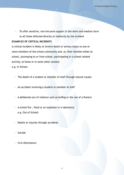$\cdot$  To offer sensitive, non-intrusive support in the short and medium term to all those affected directly or indirectly by the incident

# **EXAMPLES OF CRITICAL INCIDENTS**

A critical incident is likely to involve death or serious injury to one or more members of the school community and, or, their families either at school, journeying to or from school, participating in a school related activity, at home or in some other context.

e.g. In School:

- · The death of a student or member of staff through natural causes
- · An accident involving a student or member of staff
- $\cdot$  A deliberate act of violence such as knifing or the use of a firearm
- · A school fire , flood or an explosion in a laboratory e.g. Out of School:
- · Deaths or injuries through accidents
- **Suicide**
- · Civil disturbance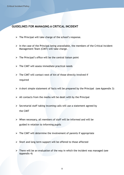# **GUIDELINES FOR MANAGING A CRITICAL INCIDENT**

- $\triangleright$  The Principal will take charge of the school's response.
- $\triangleright$  In the case of the Principal being unavailable, the members of the Critical Incident Management Team (CIMT) will take charge.
- $\triangleright$  The Principal's office will be the central liaison point
- $\triangleright$  The CIMT will assess immediate practical needs
- $\triangleright$  The CIMT will contact next of kin of those directly involved if required
- $\triangleright$  A short simple statement of facts will be prepared by the Principal (see Appendix 3)
- $\triangleright$  All contacts from the media will be dealt with by the Principal
- $\triangleright$  Secretarial staff taking incoming calls will use a statement agreed by the CIMT
- $\triangleright$  When necessary, all members of staff will be informed and will be guided in relation to informing pupils
- $\triangleright$  The CIMT will determine the involvement of parents if appropriate
- $\triangleright$  Short and long term support will be offered to those affected
- $\triangleright$  There will be an evaluation of the way in which the incident was managed (see Appendix 4)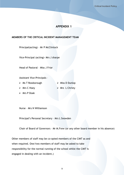# **MEMBERS OF THE CRITICAL INCIDENT MANAGEMENT TEAM**

Principal(acting) – Mr P McClintock

Vice-Principal (acting)- Mrs J sharpe

Head of Pastoral – Miss J Friar

Assistant Vice-Principals –

| $\triangleright$ Ms T Rossborough | $\triangleright$ Miss D Dunlop |
|-----------------------------------|--------------------------------|
|                                   |                                |

 $\triangleright$  Mrs P Doak

→ Mrs C Hoey → Mrs L Christy

Nurse – Mrs N Williamson

Principal's Personal Secretary – Mrs L Snowden

Chair of Board of Governors – Mr M.Frew (or any other board member in his absence)

Other members of staff may be co-opted members of the CIMT as and when required. One/two members of staff may be asked to take responsibility for the normal running of the school whilst the CIMT is engaged in dealing with an incident.)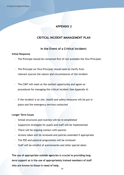# **CRITICAL INCIDENT MANAGEMENT PLAN**

# **In the Event of a Critical Incident:**

# **Initial Response**

- $\cdot$  The Principal should be contacted first (if not available the Vice Principal)
- · The Principal (or Vice Principal) should seek to clarify from relevant sources the nature and circumstances of the incident
- · The CIMT will meet at the earliest opportunity and agree on procedures for managing the critical incident (See Appendix 4)
- $\cdot$  If the incident is on site, health and safety measures will be put in place and the emergency services contacted

# **Longer Term Issues**

- School structures and routines will be re-established
- · Supportive strategies for pupils and staff will be implemented
- $\cdot$  There will be ongoing contact with parents
- · Actions taken will be reviewed and policies amended if appropriate
- · The PSE and pastoral programmes will be reviewed
- Staff will be mindful of anniversaries and other special dates

**The use of appropriate outside agencies is crucial to providing long term support as is the use of appropriately trained members of staff who are known to those in need of help.**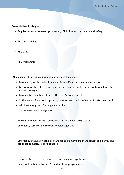# **Preventative Strategies**

- · Regular review of relevant policies e.g. Child Protection, Health and Safety
- · First Aid training
- · Fire Drills
- · PSE Programme

# ·**All members of the critical incident management team must:**

- $\triangleright$  have a copy of the Critical Incident Kit and Policy at home and at school
- $\triangleright$  be aware of the roles of each part of the plan to enable the school to react swiftly and accordingly
- $\triangleright$  have contact numbers of each other for 24 hour contact
- $\triangleright$  in the event of a school trip /visit, have access to a list of names for staff and pupils.
- $\triangleright$  will have a register of emergency services

and relevant outside agencies

- Relevant members of the secretarial staff will have a register of emergency services and relevant outside agencies
- Emergency evacuation drills are familiar to all members of the school community and practiced regularly. (see Appendix 5)
- · Opportunities to explore sensitive issues such as tragedy and death will be built into the PSE and pastoral programmes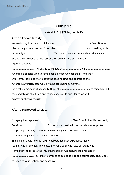# SAMPLE ANNOUNCEMENTS

# **After a known fatality…**

We are taking this time to think about ………………………………………………, a Year 12 who died last night in a road traffic accident. ……………………………………… was travelling with her family to …………………………………… We do not know any details about the accident at this time except that the rest of the family is safe and no one is injured seriously. ……………………………..'s funeral is being held at ………………………… on ……………………………… A funeral is a special time to remember a person who has died. The school will let your families know about the specific time and address of the funeral in a written note which will be sent home tomorrow. Let's take a moment of silence to think of …………………………………………, to remember all the good things about her, and to say goodbye. In our silence we will express our loving thoughts.

# **After a suspected suicide…**

A tragedy has happened. …………………………………………, a Year 8 pupil, has died suddenly. Details of ………………………………….'s premature death will not be released to protect the privacy of family members. You will be given information about funeral arrangements as soon as possible. This kind of tragic news is hard to accept. You may experience many feelings within the next few days. Everyone deals with loss differently. It is important to respect the way others grieve. Counsellors are available in ………………………...... Feel free to arrange to go and talk to the counsellors. They want to listen to your feelings and concerns.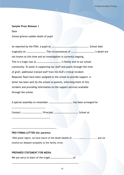# **Sample Press Release 1**

Date

School grieves sudden death of pupil

As reported by the PSNI, a pupil at ……………………………………………………. School died tragically on …………………………. The circumstances of …………………………………'s death are not known at this time and an investigation is currently ongoing. This is a tragic loss to ………………………………….'s family and to our school community. To assist in supporting our staff and pupils through this time of grief, additional trained staff from the ELB's Critical Incident Response Team have been assigned to the school to provide support. A letter has been sent by the school to parents, informing them of this incident and providing information on the support services available through the school.

A special assembly to remember ………………………………… has been arranged for Contact: …………………………… Principal, ………………………………… School at ………………………………………………………

……………………………………………………………….

**PRO FORMA LETTER (for parents)**

'With great regret, we have learnt of the death/deaths of .........……….............. and we extend our deepest sympathy to the family circle.

# **PREPARED STATEMENT FOR MEDIA**

We are sorry to learn of the tragic……………………………….of

……………………………….…………………………….……………………………….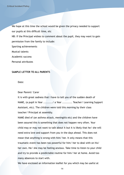We hope at this time the school would be given the privacy needed to support our pupils at this difficult time, etc NB: If the Principal wishes to comment about the pupil, they may want to gain permission from the family to include: Sporting achievements Musical talents Academic success Personal attributes

# **SAMPLE LETTER TO ALL PARENTS**

Date:

Dear Parent/ Carer

It is with great sadness that I have to tell you of the sudden death of NAME, (a pupil in Year ........../ a Year ........... Teacher/ Learning Support Assistant, etc). The children were told this morning by their class teacher/ Principal at assembly.

NAME died of (an asthma attack, meningitis etc) and the children have been assured this is something that does not happen very often. Your child may or may not want to talk about it but it is likely that he/ she will need extra love and support from you in the days ahead. This does not mean that anything is wrong with him/ her. It only means that this traumatic event has been too powerful for him/ her to deal with on his/ her own. He/ she may be feeling anxious. Take time to listen to your child and try to provide a predictable routine for him/ her at home. Avoid too many absences to start with.

We have enclosed an information leaflet for you which may be useful at

**14**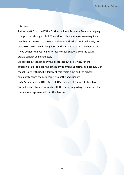this time.

Trained staff from the EANI's Critical Incident Response Team are helping to support us through this difficult time. It is sometimes necessary for a member of the team to speak to a class or individual pupils who may be distressed. He/ she will be guided by the Principal/ class teacher in this. If you do not wish your child to receive such support from the team please contact us immediately.

We are deeply saddened by this great loss but are trying, for the children's sake, to keep the school environment as normal as possible. Our thoughts are with NAME's family at this tragic time and the school community sends them sincerest sympathy and support.

NAME's funeral is on DAY/ DATE at TIME am/pm at (Name of Church or Crematorium). We are in touch with the family regarding their wishes for the school's representation at the Service.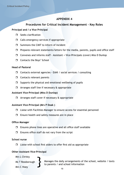# **Procedures for Critical Incident Management - Key Roles**

# **Principal and / a Vice Principal**

- $\Box$  Seeks clarification
- $\Box$  Calls emergency services if appropriate
- $\Box$  Summons the CIMT to inform of incident
- $\Box$  Prepares relevant statements/letters for the media, parents, pupils and office staff
- $\Box$  Convenes and informs staff Assistant + Vice-Principals (cover) Miss D Dunlop
- $\Box$  Contacts the Boys' School

# **Head of Pastoral**

- $\Box$  Contacts external agencies EANI / social services / consulting
- $\Box$  Contacts relevant parents
- $\Box$  Supports the physical and emotional wellbeing of pupils
- $\Box$  Arranges staff line if necessary  $\alpha$  appropriate

# **Assistant Vice-Principal (Miss D Dunlop)**

 $\Box$  Arranges staff cover if necessary  $\alpha$  appropriate

# **Assistant Vice-Principal (Mrs P Doak )**

- $\Box$  Liaise with Facilities Manager to ensure access for essential personnel
- $\Box$  Ensure health and safety measures are in place

### **Office Manager**

- $\Box$  Ensures phone lines are operative and all office staff available
- $\Box$  Ensures office staff do not vary from the script

#### **School nurse**

 $\Box$  Liaise with school first aiders to offer first aid as appropriate

# **Other Assistant Vice-Principal**

Mrs L Christy

Ms T Rossborough

Mrs C Hoey

Manages the daily arrangements of the school, website / texts to parents / and school information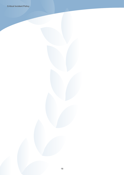**18**